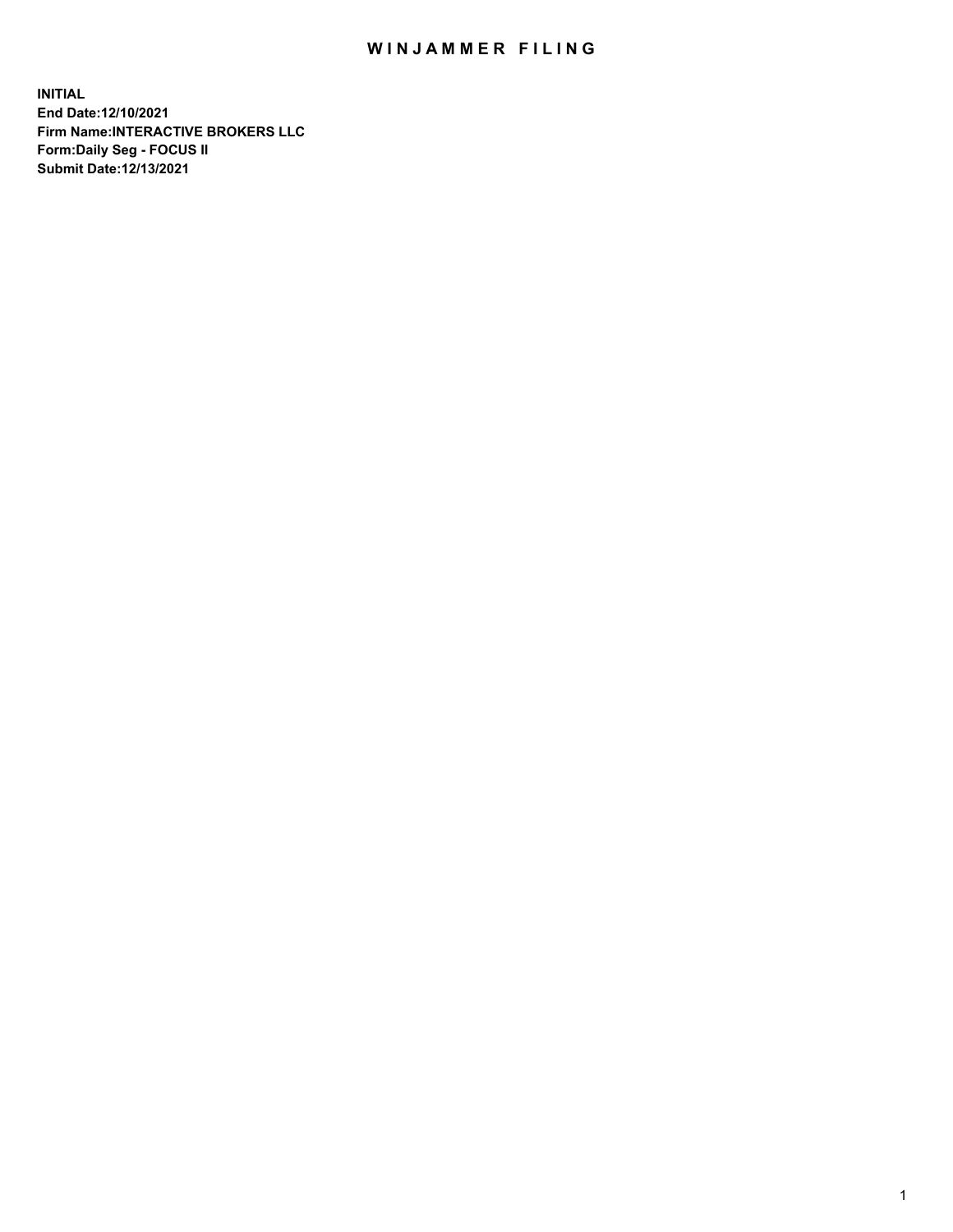## WIN JAMMER FILING

**INITIAL End Date:12/10/2021 Firm Name:INTERACTIVE BROKERS LLC Form:Daily Seg - FOCUS II Submit Date:12/13/2021**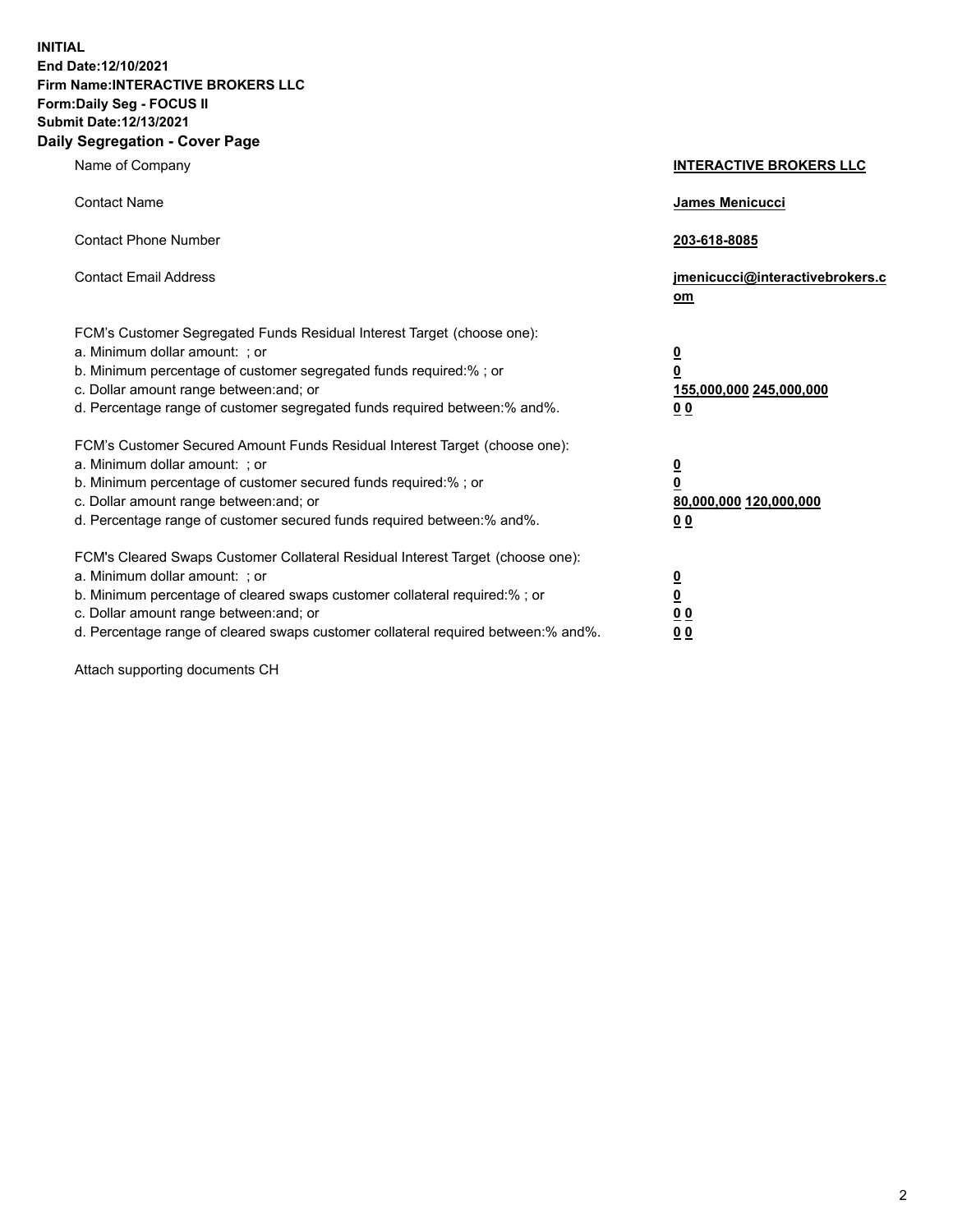**INITIAL End Date:12/10/2021 Firm Name:INTERACTIVE BROKERS LLC Form:Daily Seg - FOCUS II Submit Date:12/13/2021 Daily Segregation - Cover Page**

| Name of Company                                                                                                                                                                                                                                                                                                                | <b>INTERACTIVE BROKERS LLC</b>                                              |
|--------------------------------------------------------------------------------------------------------------------------------------------------------------------------------------------------------------------------------------------------------------------------------------------------------------------------------|-----------------------------------------------------------------------------|
| <b>Contact Name</b>                                                                                                                                                                                                                                                                                                            | James Menicucci                                                             |
| <b>Contact Phone Number</b>                                                                                                                                                                                                                                                                                                    | 203-618-8085                                                                |
| <b>Contact Email Address</b>                                                                                                                                                                                                                                                                                                   | jmenicucci@interactivebrokers.c<br>om                                       |
| FCM's Customer Segregated Funds Residual Interest Target (choose one):<br>a. Minimum dollar amount: ; or<br>b. Minimum percentage of customer segregated funds required:% ; or<br>c. Dollar amount range between: and; or<br>d. Percentage range of customer segregated funds required between:% and%.                         | <u>0</u><br>$\overline{\mathbf{0}}$<br>155,000,000 245,000,000<br><u>00</u> |
| FCM's Customer Secured Amount Funds Residual Interest Target (choose one):<br>a. Minimum dollar amount: : or<br>b. Minimum percentage of customer secured funds required:%; or<br>c. Dollar amount range between: and; or<br>d. Percentage range of customer secured funds required between:% and%.                            | $\frac{0}{0}$<br>80,000,000 120,000,000<br><u>00</u>                        |
| FCM's Cleared Swaps Customer Collateral Residual Interest Target (choose one):<br>a. Minimum dollar amount: ; or<br>b. Minimum percentage of cleared swaps customer collateral required:% ; or<br>c. Dollar amount range between: and; or<br>d. Percentage range of cleared swaps customer collateral required between:% and%. | $\frac{0}{0}$<br>$\underline{0}$ $\underline{0}$<br>0 <sub>0</sub>          |

Attach supporting documents CH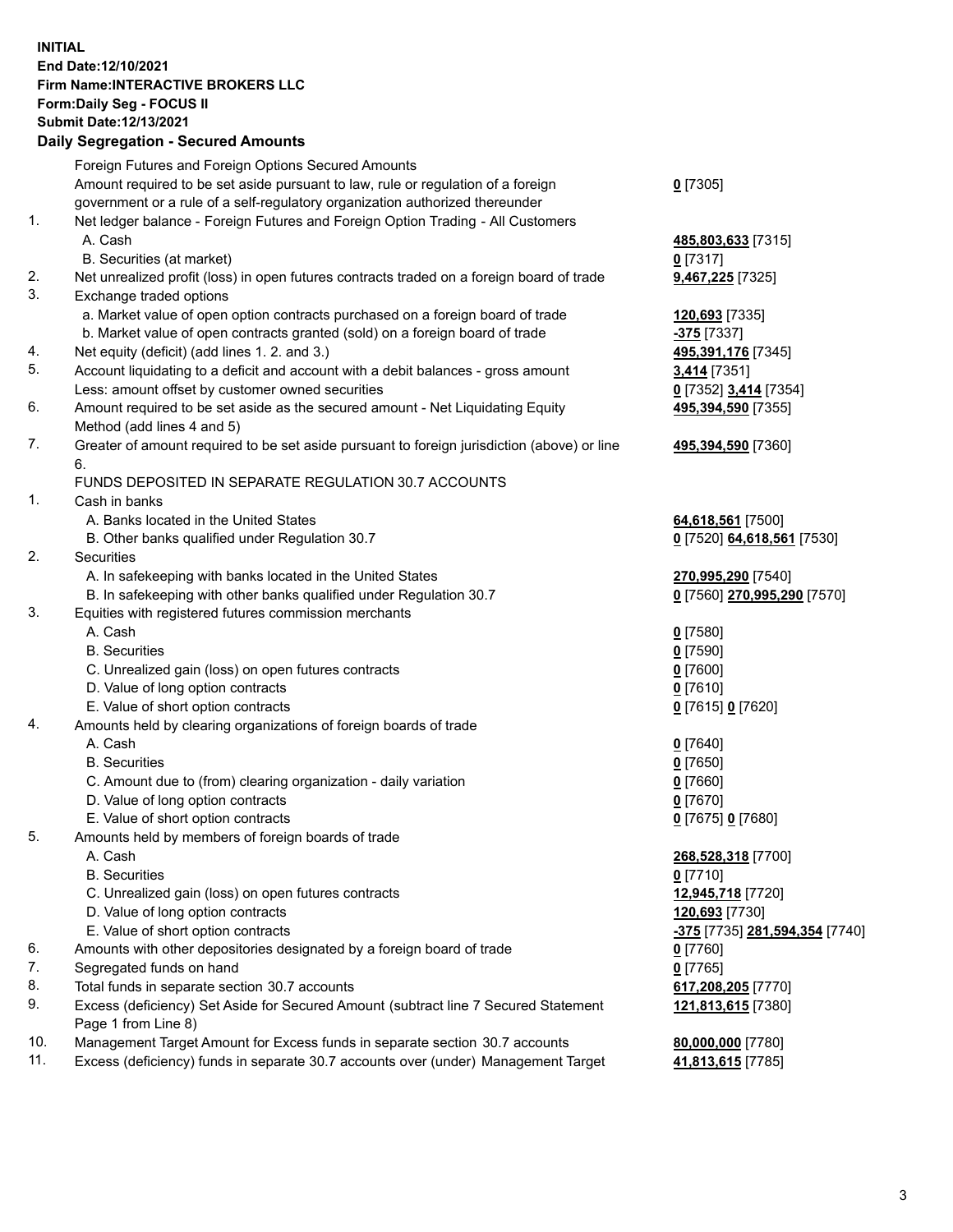## **INITIAL End Date:12/10/2021 Firm Name:INTERACTIVE BROKERS LLC Form:Daily Seg - FOCUS II Submit Date:12/13/2021 Daily Segregation - Secured Amounts**

| Daily Segregation - Secured Amounts                                                         |                                                                                                                                                                                                                                                                                                                                                                                                                                                                                                                                                                                                                                                                                                                                                                                                                                                                                                                                                                                                                                                                                                                                                                                                                                                                                       |
|---------------------------------------------------------------------------------------------|---------------------------------------------------------------------------------------------------------------------------------------------------------------------------------------------------------------------------------------------------------------------------------------------------------------------------------------------------------------------------------------------------------------------------------------------------------------------------------------------------------------------------------------------------------------------------------------------------------------------------------------------------------------------------------------------------------------------------------------------------------------------------------------------------------------------------------------------------------------------------------------------------------------------------------------------------------------------------------------------------------------------------------------------------------------------------------------------------------------------------------------------------------------------------------------------------------------------------------------------------------------------------------------|
| Foreign Futures and Foreign Options Secured Amounts                                         |                                                                                                                                                                                                                                                                                                                                                                                                                                                                                                                                                                                                                                                                                                                                                                                                                                                                                                                                                                                                                                                                                                                                                                                                                                                                                       |
| Amount required to be set aside pursuant to law, rule or regulation of a foreign            | $0$ [7305]                                                                                                                                                                                                                                                                                                                                                                                                                                                                                                                                                                                                                                                                                                                                                                                                                                                                                                                                                                                                                                                                                                                                                                                                                                                                            |
| government or a rule of a self-regulatory organization authorized thereunder                |                                                                                                                                                                                                                                                                                                                                                                                                                                                                                                                                                                                                                                                                                                                                                                                                                                                                                                                                                                                                                                                                                                                                                                                                                                                                                       |
| Net ledger balance - Foreign Futures and Foreign Option Trading - All Customers             |                                                                                                                                                                                                                                                                                                                                                                                                                                                                                                                                                                                                                                                                                                                                                                                                                                                                                                                                                                                                                                                                                                                                                                                                                                                                                       |
| A. Cash                                                                                     | 485,803,633 [7315]                                                                                                                                                                                                                                                                                                                                                                                                                                                                                                                                                                                                                                                                                                                                                                                                                                                                                                                                                                                                                                                                                                                                                                                                                                                                    |
| B. Securities (at market)                                                                   | $0$ [7317]                                                                                                                                                                                                                                                                                                                                                                                                                                                                                                                                                                                                                                                                                                                                                                                                                                                                                                                                                                                                                                                                                                                                                                                                                                                                            |
| Net unrealized profit (loss) in open futures contracts traded on a foreign board of trade   | 9,467,225 [7325]                                                                                                                                                                                                                                                                                                                                                                                                                                                                                                                                                                                                                                                                                                                                                                                                                                                                                                                                                                                                                                                                                                                                                                                                                                                                      |
| Exchange traded options                                                                     |                                                                                                                                                                                                                                                                                                                                                                                                                                                                                                                                                                                                                                                                                                                                                                                                                                                                                                                                                                                                                                                                                                                                                                                                                                                                                       |
| a. Market value of open option contracts purchased on a foreign board of trade              | 120,693 [7335]                                                                                                                                                                                                                                                                                                                                                                                                                                                                                                                                                                                                                                                                                                                                                                                                                                                                                                                                                                                                                                                                                                                                                                                                                                                                        |
| b. Market value of open contracts granted (sold) on a foreign board of trade                | -375 <sub>[7337]</sub>                                                                                                                                                                                                                                                                                                                                                                                                                                                                                                                                                                                                                                                                                                                                                                                                                                                                                                                                                                                                                                                                                                                                                                                                                                                                |
| Net equity (deficit) (add lines 1. 2. and 3.)                                               | 495,391,176 [7345]                                                                                                                                                                                                                                                                                                                                                                                                                                                                                                                                                                                                                                                                                                                                                                                                                                                                                                                                                                                                                                                                                                                                                                                                                                                                    |
| Account liquidating to a deficit and account with a debit balances - gross amount           | 3,414 [7351]                                                                                                                                                                                                                                                                                                                                                                                                                                                                                                                                                                                                                                                                                                                                                                                                                                                                                                                                                                                                                                                                                                                                                                                                                                                                          |
| Less: amount offset by customer owned securities                                            | 0 [7352] 3,414 [7354]                                                                                                                                                                                                                                                                                                                                                                                                                                                                                                                                                                                                                                                                                                                                                                                                                                                                                                                                                                                                                                                                                                                                                                                                                                                                 |
| Amount required to be set aside as the secured amount - Net Liquidating Equity              | 495,394,590 [7355]                                                                                                                                                                                                                                                                                                                                                                                                                                                                                                                                                                                                                                                                                                                                                                                                                                                                                                                                                                                                                                                                                                                                                                                                                                                                    |
| Method (add lines 4 and 5)                                                                  |                                                                                                                                                                                                                                                                                                                                                                                                                                                                                                                                                                                                                                                                                                                                                                                                                                                                                                                                                                                                                                                                                                                                                                                                                                                                                       |
| Greater of amount required to be set aside pursuant to foreign jurisdiction (above) or line | 495,394,590 [7360]                                                                                                                                                                                                                                                                                                                                                                                                                                                                                                                                                                                                                                                                                                                                                                                                                                                                                                                                                                                                                                                                                                                                                                                                                                                                    |
| 6.                                                                                          |                                                                                                                                                                                                                                                                                                                                                                                                                                                                                                                                                                                                                                                                                                                                                                                                                                                                                                                                                                                                                                                                                                                                                                                                                                                                                       |
| FUNDS DEPOSITED IN SEPARATE REGULATION 30.7 ACCOUNTS                                        |                                                                                                                                                                                                                                                                                                                                                                                                                                                                                                                                                                                                                                                                                                                                                                                                                                                                                                                                                                                                                                                                                                                                                                                                                                                                                       |
|                                                                                             |                                                                                                                                                                                                                                                                                                                                                                                                                                                                                                                                                                                                                                                                                                                                                                                                                                                                                                                                                                                                                                                                                                                                                                                                                                                                                       |
|                                                                                             | 64,618,561 [7500]                                                                                                                                                                                                                                                                                                                                                                                                                                                                                                                                                                                                                                                                                                                                                                                                                                                                                                                                                                                                                                                                                                                                                                                                                                                                     |
| B. Other banks qualified under Regulation 30.7                                              | 0 [7520] 64,618,561 [7530]                                                                                                                                                                                                                                                                                                                                                                                                                                                                                                                                                                                                                                                                                                                                                                                                                                                                                                                                                                                                                                                                                                                                                                                                                                                            |
| <b>Securities</b>                                                                           |                                                                                                                                                                                                                                                                                                                                                                                                                                                                                                                                                                                                                                                                                                                                                                                                                                                                                                                                                                                                                                                                                                                                                                                                                                                                                       |
| A. In safekeeping with banks located in the United States                                   | 270,995,290 [7540]                                                                                                                                                                                                                                                                                                                                                                                                                                                                                                                                                                                                                                                                                                                                                                                                                                                                                                                                                                                                                                                                                                                                                                                                                                                                    |
|                                                                                             | 0 [7560] 270,995,290 [7570]                                                                                                                                                                                                                                                                                                                                                                                                                                                                                                                                                                                                                                                                                                                                                                                                                                                                                                                                                                                                                                                                                                                                                                                                                                                           |
|                                                                                             |                                                                                                                                                                                                                                                                                                                                                                                                                                                                                                                                                                                                                                                                                                                                                                                                                                                                                                                                                                                                                                                                                                                                                                                                                                                                                       |
|                                                                                             | $0$ [7580]                                                                                                                                                                                                                                                                                                                                                                                                                                                                                                                                                                                                                                                                                                                                                                                                                                                                                                                                                                                                                                                                                                                                                                                                                                                                            |
|                                                                                             | $0$ [7590]                                                                                                                                                                                                                                                                                                                                                                                                                                                                                                                                                                                                                                                                                                                                                                                                                                                                                                                                                                                                                                                                                                                                                                                                                                                                            |
|                                                                                             | $0$ [7600]                                                                                                                                                                                                                                                                                                                                                                                                                                                                                                                                                                                                                                                                                                                                                                                                                                                                                                                                                                                                                                                                                                                                                                                                                                                                            |
|                                                                                             | $0$ [7610]                                                                                                                                                                                                                                                                                                                                                                                                                                                                                                                                                                                                                                                                                                                                                                                                                                                                                                                                                                                                                                                                                                                                                                                                                                                                            |
|                                                                                             | 0 [7615] 0 [7620]                                                                                                                                                                                                                                                                                                                                                                                                                                                                                                                                                                                                                                                                                                                                                                                                                                                                                                                                                                                                                                                                                                                                                                                                                                                                     |
|                                                                                             |                                                                                                                                                                                                                                                                                                                                                                                                                                                                                                                                                                                                                                                                                                                                                                                                                                                                                                                                                                                                                                                                                                                                                                                                                                                                                       |
|                                                                                             | $0$ [7640]                                                                                                                                                                                                                                                                                                                                                                                                                                                                                                                                                                                                                                                                                                                                                                                                                                                                                                                                                                                                                                                                                                                                                                                                                                                                            |
|                                                                                             | $0$ [7650]                                                                                                                                                                                                                                                                                                                                                                                                                                                                                                                                                                                                                                                                                                                                                                                                                                                                                                                                                                                                                                                                                                                                                                                                                                                                            |
|                                                                                             | $0$ [7660]                                                                                                                                                                                                                                                                                                                                                                                                                                                                                                                                                                                                                                                                                                                                                                                                                                                                                                                                                                                                                                                                                                                                                                                                                                                                            |
|                                                                                             | $0$ [7670]                                                                                                                                                                                                                                                                                                                                                                                                                                                                                                                                                                                                                                                                                                                                                                                                                                                                                                                                                                                                                                                                                                                                                                                                                                                                            |
|                                                                                             | 0 [7675] 0 [7680]                                                                                                                                                                                                                                                                                                                                                                                                                                                                                                                                                                                                                                                                                                                                                                                                                                                                                                                                                                                                                                                                                                                                                                                                                                                                     |
|                                                                                             |                                                                                                                                                                                                                                                                                                                                                                                                                                                                                                                                                                                                                                                                                                                                                                                                                                                                                                                                                                                                                                                                                                                                                                                                                                                                                       |
|                                                                                             | 268,528,318 [7700]                                                                                                                                                                                                                                                                                                                                                                                                                                                                                                                                                                                                                                                                                                                                                                                                                                                                                                                                                                                                                                                                                                                                                                                                                                                                    |
|                                                                                             | $0$ [7710]                                                                                                                                                                                                                                                                                                                                                                                                                                                                                                                                                                                                                                                                                                                                                                                                                                                                                                                                                                                                                                                                                                                                                                                                                                                                            |
|                                                                                             | 12,945,718 [7720]                                                                                                                                                                                                                                                                                                                                                                                                                                                                                                                                                                                                                                                                                                                                                                                                                                                                                                                                                                                                                                                                                                                                                                                                                                                                     |
|                                                                                             | 120,693 [7730]                                                                                                                                                                                                                                                                                                                                                                                                                                                                                                                                                                                                                                                                                                                                                                                                                                                                                                                                                                                                                                                                                                                                                                                                                                                                        |
|                                                                                             | <mark>-375</mark> [7735] 281,594,354 [7740]                                                                                                                                                                                                                                                                                                                                                                                                                                                                                                                                                                                                                                                                                                                                                                                                                                                                                                                                                                                                                                                                                                                                                                                                                                           |
|                                                                                             | $0$ [7760]                                                                                                                                                                                                                                                                                                                                                                                                                                                                                                                                                                                                                                                                                                                                                                                                                                                                                                                                                                                                                                                                                                                                                                                                                                                                            |
|                                                                                             | $0$ [7765]                                                                                                                                                                                                                                                                                                                                                                                                                                                                                                                                                                                                                                                                                                                                                                                                                                                                                                                                                                                                                                                                                                                                                                                                                                                                            |
|                                                                                             | 617,208,205 [7770]                                                                                                                                                                                                                                                                                                                                                                                                                                                                                                                                                                                                                                                                                                                                                                                                                                                                                                                                                                                                                                                                                                                                                                                                                                                                    |
|                                                                                             | 121,813,615 [7380]                                                                                                                                                                                                                                                                                                                                                                                                                                                                                                                                                                                                                                                                                                                                                                                                                                                                                                                                                                                                                                                                                                                                                                                                                                                                    |
|                                                                                             |                                                                                                                                                                                                                                                                                                                                                                                                                                                                                                                                                                                                                                                                                                                                                                                                                                                                                                                                                                                                                                                                                                                                                                                                                                                                                       |
|                                                                                             | 80,000,000 [7780]                                                                                                                                                                                                                                                                                                                                                                                                                                                                                                                                                                                                                                                                                                                                                                                                                                                                                                                                                                                                                                                                                                                                                                                                                                                                     |
|                                                                                             | 41,813,615 [7785]                                                                                                                                                                                                                                                                                                                                                                                                                                                                                                                                                                                                                                                                                                                                                                                                                                                                                                                                                                                                                                                                                                                                                                                                                                                                     |
|                                                                                             | Cash in banks<br>A. Banks located in the United States<br>B. In safekeeping with other banks qualified under Regulation 30.7<br>Equities with registered futures commission merchants<br>A. Cash<br><b>B.</b> Securities<br>C. Unrealized gain (loss) on open futures contracts<br>D. Value of long option contracts<br>E. Value of short option contracts<br>Amounts held by clearing organizations of foreign boards of trade<br>A. Cash<br><b>B.</b> Securities<br>C. Amount due to (from) clearing organization - daily variation<br>D. Value of long option contracts<br>E. Value of short option contracts<br>Amounts held by members of foreign boards of trade<br>A. Cash<br><b>B.</b> Securities<br>C. Unrealized gain (loss) on open futures contracts<br>D. Value of long option contracts<br>E. Value of short option contracts<br>Amounts with other depositories designated by a foreign board of trade<br>Segregated funds on hand<br>Total funds in separate section 30.7 accounts<br>Excess (deficiency) Set Aside for Secured Amount (subtract line 7 Secured Statement<br>Page 1 from Line 8)<br>Management Target Amount for Excess funds in separate section 30.7 accounts<br>Excess (deficiency) funds in separate 30.7 accounts over (under) Management Target |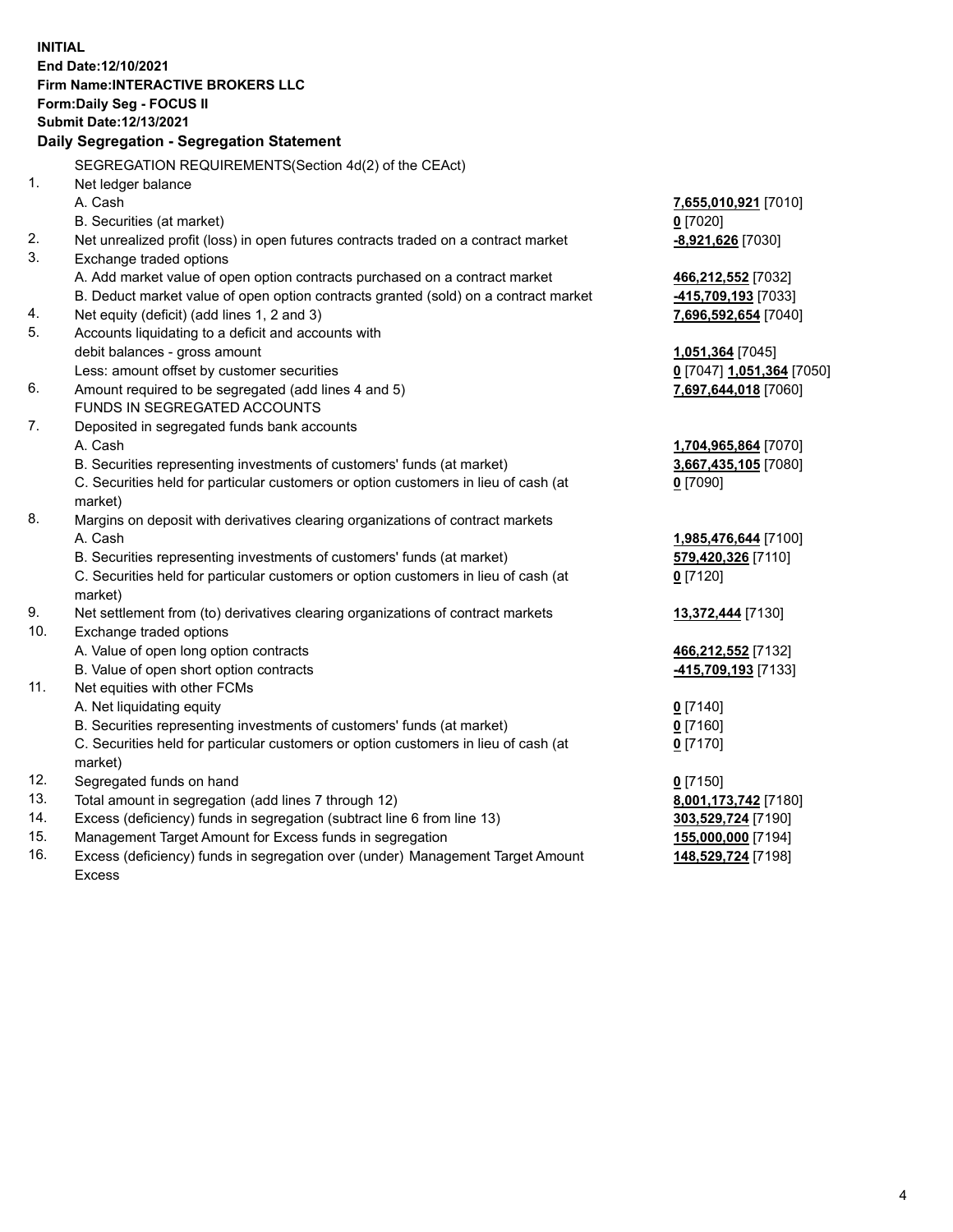**INITIAL End Date:12/10/2021 Firm Name:INTERACTIVE BROKERS LLC Form:Daily Seg - FOCUS II Submit Date:12/13/2021 Daily Segregation - Segregation Statement** SEGREGATION REQUIREMENTS(Section 4d(2) of the CEAct) 1. Net ledger balance A. Cash **7,655,010,921** [7010] B. Securities (at market) **0** [7020] 2. Net unrealized profit (loss) in open futures contracts traded on a contract market **-8,921,626** [7030] 3. Exchange traded options A. Add market value of open option contracts purchased on a contract market **466,212,552** [7032] B. Deduct market value of open option contracts granted (sold) on a contract market **-415,709,193** [7033] 4. Net equity (deficit) (add lines 1, 2 and 3) **7,696,592,654** [7040] 5. Accounts liquidating to a deficit and accounts with debit balances - gross amount **1,051,364** [7045] Less: amount offset by customer securities **0** [7047] **1,051,364** [7050] 6. Amount required to be segregated (add lines 4 and 5) **7,697,644,018** [7060] FUNDS IN SEGREGATED ACCOUNTS 7. Deposited in segregated funds bank accounts A. Cash **1,704,965,864** [7070] B. Securities representing investments of customers' funds (at market) **3,667,435,105** [7080] C. Securities held for particular customers or option customers in lieu of cash (at market) **0** [7090] 8. Margins on deposit with derivatives clearing organizations of contract markets A. Cash **1,985,476,644** [7100] B. Securities representing investments of customers' funds (at market) **579,420,326** [7110] C. Securities held for particular customers or option customers in lieu of cash (at market) **0** [7120] 9. Net settlement from (to) derivatives clearing organizations of contract markets **13,372,444** [7130] 10. Exchange traded options A. Value of open long option contracts **466,212,552** [7132] B. Value of open short option contracts **-415,709,193** [7133] 11. Net equities with other FCMs A. Net liquidating equity **0** [7140] B. Securities representing investments of customers' funds (at market) **0** [7160] C. Securities held for particular customers or option customers in lieu of cash (at market) **0** [7170] 12. Segregated funds on hand **0** [7150] 13. Total amount in segregation (add lines 7 through 12) **8,001,173,742** [7180] 14. Excess (deficiency) funds in segregation (subtract line 6 from line 13) **303,529,724** [7190] 15. Management Target Amount for Excess funds in segregation **155,000,000** [7194] 16. Excess (deficiency) funds in segregation over (under) Management Target Amount **148,529,724** [7198]

Excess